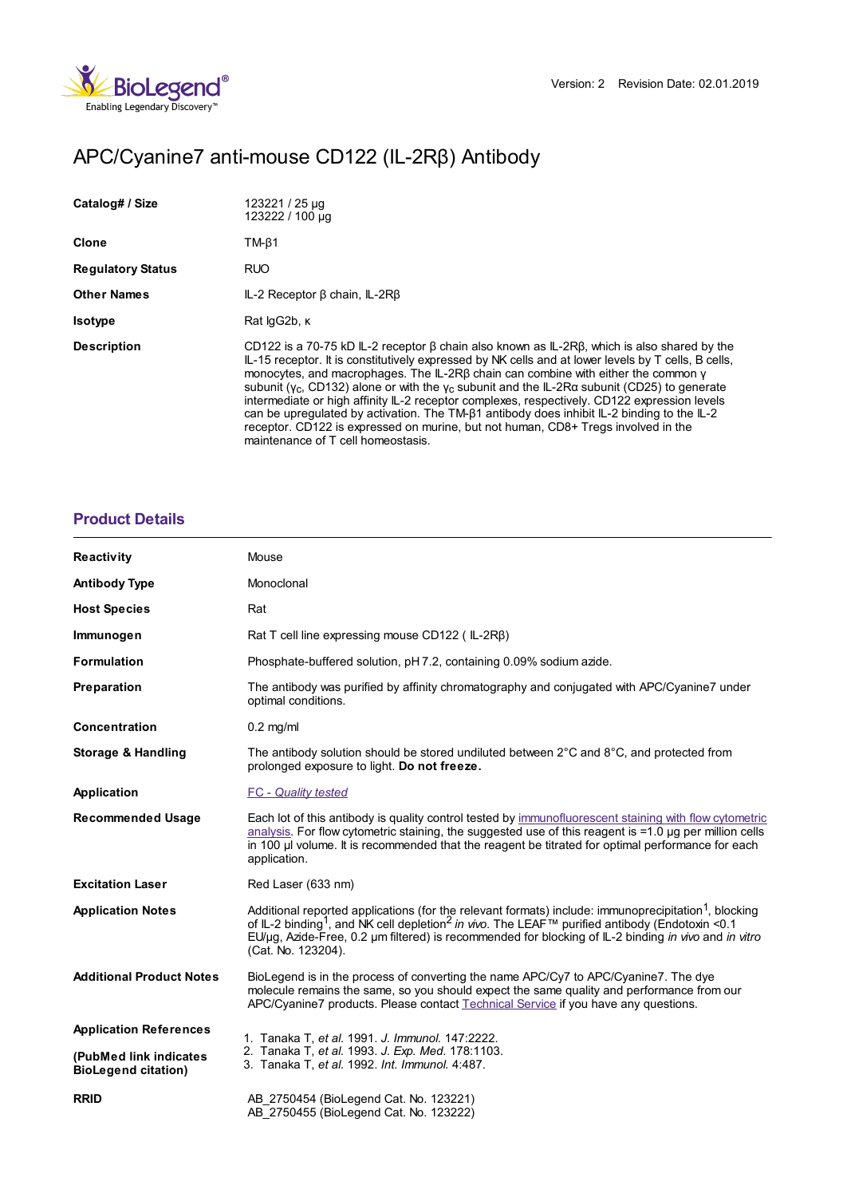

# APC/Cyanine7 anti-mouse CD122 (IL-2Rβ) Antibody

| Catalog# / Size          | 123221 / 25 µg<br>123222 / 100 µg                                                                                                                                                                                                                                                                                                                                                                                                                                                                                                                                                                                                                                                                                                                  |
|--------------------------|----------------------------------------------------------------------------------------------------------------------------------------------------------------------------------------------------------------------------------------------------------------------------------------------------------------------------------------------------------------------------------------------------------------------------------------------------------------------------------------------------------------------------------------------------------------------------------------------------------------------------------------------------------------------------------------------------------------------------------------------------|
| Clone                    | $TM-\beta1$                                                                                                                                                                                                                                                                                                                                                                                                                                                                                                                                                                                                                                                                                                                                        |
| <b>Regulatory Status</b> | <b>RUO</b>                                                                                                                                                                                                                                                                                                                                                                                                                                                                                                                                                                                                                                                                                                                                         |
| <b>Other Names</b>       | $IL-2$ Receptor $\beta$ chain, $IL-2R\beta$                                                                                                                                                                                                                                                                                                                                                                                                                                                                                                                                                                                                                                                                                                        |
| <b>Isotype</b>           | Rat lgG2b, K                                                                                                                                                                                                                                                                                                                                                                                                                                                                                                                                                                                                                                                                                                                                       |
| <b>Description</b>       | CD122 is a 70-75 kD IL-2 receptor $\beta$ chain also known as IL-2R $\beta$ , which is also shared by the<br>IL-15 receptor. It is constitutively expressed by NK cells and at lower levels by T cells, B cells,<br>monocytes, and macrophages. The IL-2R $\beta$ chain can combine with either the common $\gamma$<br>subunit ( $y_c$ , CD132) alone or with the $y_c$ subunit and the IL-2Ra subunit (CD25) to generate<br>intermediate or high affinity IL-2 receptor complexes, respectively. CD122 expression levels<br>can be upregulated by activation. The TM-B1 antibody does inhibit IL-2 binding to the IL-2<br>receptor. CD122 is expressed on murine, but not human, CD8+ Tregs involved in the<br>maintenance of T cell homeostasis. |

# **[Product](https://www.biolegend.com/fr-ch/products/apc-cyanine7-anti-mouse-cd122-il-2rbeta-antibody-16480?pdf=true&displayInline=true&leftRightMargin=15&topBottomMargin=15&filename=APC/Cyanine7 anti-mouse CD122 (IL-2R%EF%BF%BD%EF%BF%BD) Antibody.pdf#productDetails) Details**

| <b>Reactivity</b>                                    | Mouse                                                                                                                                                                                                                                                                                                                                                                                |
|------------------------------------------------------|--------------------------------------------------------------------------------------------------------------------------------------------------------------------------------------------------------------------------------------------------------------------------------------------------------------------------------------------------------------------------------------|
| <b>Antibody Type</b>                                 | Monoclonal                                                                                                                                                                                                                                                                                                                                                                           |
| <b>Host Species</b>                                  | Rat                                                                                                                                                                                                                                                                                                                                                                                  |
| Immunogen                                            | Rat T cell line expressing mouse $CD122$ (IL-2R $\beta$ )                                                                                                                                                                                                                                                                                                                            |
| <b>Formulation</b>                                   | Phosphate-buffered solution, pH 7.2, containing 0.09% sodium azide.                                                                                                                                                                                                                                                                                                                  |
| Preparation                                          | The antibody was purified by affinity chromatography and conjugated with APC/Cyanine7 under<br>optimal conditions.                                                                                                                                                                                                                                                                   |
| <b>Concentration</b>                                 | $0.2$ mg/ml                                                                                                                                                                                                                                                                                                                                                                          |
| <b>Storage &amp; Handling</b>                        | The antibody solution should be stored undiluted between $2^{\circ}$ C and $8^{\circ}$ C, and protected from<br>prolonged exposure to light. Do not freeze.                                                                                                                                                                                                                          |
| Application                                          | <b>FC</b> - Quality tested                                                                                                                                                                                                                                                                                                                                                           |
| <b>Recommended Usage</b>                             | Each lot of this antibody is quality control tested by immunofluorescent staining with flow cytometric<br>$analysis$ . For flow cytometric staining, the suggested use of this reagent is $=1.0$ µg per million cells<br>in 100 µl volume. It is recommended that the reagent be titrated for optimal performance for each<br>application.                                           |
| <b>Excitation Laser</b>                              | Red Laser (633 nm)                                                                                                                                                                                                                                                                                                                                                                   |
| <b>Application Notes</b>                             | Additional reported applications (for the relevant formats) include: immunoprecipitation <sup>1</sup> , blocking<br>of IL-2 binding <sup>1</sup> , and NK cell depletion <sup>2</sup> in vivo. The LEAF <sup>™</sup> purified antibody (Endotoxin <0.1<br>EU/µg, Azide-Free, 0.2 µm filtered) is recommended for blocking of IL-2 binding in vivo and in vitro<br>(Cat. No. 123204). |
| <b>Additional Product Notes</b>                      | BioLegend is in the process of converting the name APC/Cy7 to APC/Cyanine7. The dye<br>molecule remains the same, so you should expect the same quality and performance from our<br>APC/Cyanine7 products. Please contact Technical Service if you have any questions.                                                                                                               |
| <b>Application References</b>                        | 1. Tanaka T, et al. 1991. J. Immunol. 147:2222.<br>2. Tanaka T, et al. 1993. J. Exp. Med. 178:1103.<br>3. Tanaka T, et al. 1992. Int. Immunol. 4:487.                                                                                                                                                                                                                                |
| (PubMed link indicates<br><b>BioLegend citation)</b> |                                                                                                                                                                                                                                                                                                                                                                                      |
| <b>RRID</b>                                          | AB 2750454 (BioLegend Cat. No. 123221)<br>AB 2750455 (BioLegend Cat. No. 123222)                                                                                                                                                                                                                                                                                                     |